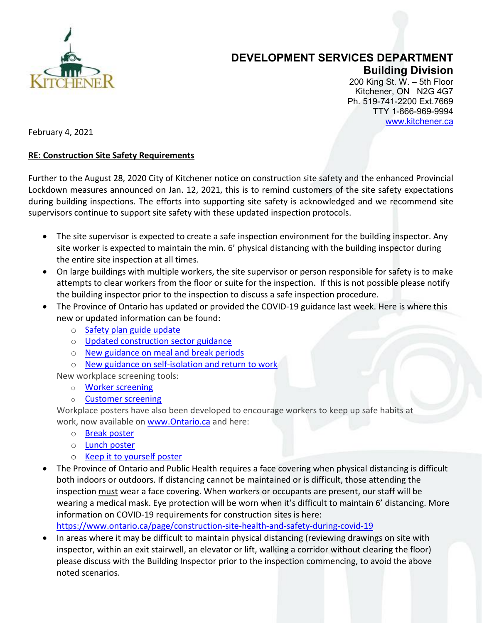

## **DEVELOPMENT SERVICES DEPARTMENT Building Division**

200 King St. W. – 5th Floor Kitchener, ON N2G 4G7 Ph. 519-741-2200 Ext.7669 TTY 1-866-969-9994 [www.kitchener.ca](http://www.kitchener.ca/)

February 4, 2021

## **RE: Construction Site Safety Requirements**

Further to the August 28, 2020 City of Kitchener notice on construction site safety and the enhanced Provincial Lockdown measures announced on Jan. 12, 2021, this is to remind customers of the site safety expectations during building inspections. The efforts into supporting site safety is acknowledged and we recommend site supervisors continue to support site safety with these updated inspection protocols.

- The site supervisor is expected to create a safe inspection environment for the building inspector. Any site worker is expected to maintain the min. 6' physical distancing with the building inspector during the entire site inspection at all times.
- On large buildings with multiple workers, the site supervisor or person responsible for safety is to make attempts to clear workers from the floor or suite for the inspection. If this is not possible please notify the building inspector prior to the inspection to discuss a safe inspection procedure.
- The Province of Ontario has updated or provided the COVID-19 guidance last week. Here is where this new or updated information can be found:
	- o [Safety plan guide update](https://urldefense.com/v3/__https:/ontario.us16.list-manage.com/track/click?u=4ebaa11387038c3e29a6a4a8b&id=23ff8faa8a&e=ea7712af71__;!!E19_NBb0RQ!VPnhN6LVN_mXglzLex7nHNbwbkA6XVSgyzFflBNkXjy4WIkhoQqq_CdhQPFlwZ5ZHVOEuwix$)
	- o [Updated construction sector guidance](https://urldefense.com/v3/__https:/ontario.us16.list-manage.com/track/click?u=4ebaa11387038c3e29a6a4a8b&id=b983cdf0b9&e=ea7712af71__;!!E19_NBb0RQ!VPnhN6LVN_mXglzLex7nHNbwbkA6XVSgyzFflBNkXjy4WIkhoQqq_CdhQPFlwZ5ZHXXYoRh5$)
	- o [New guidance on meal and break periods](https://urldefense.com/v3/__https:/ontario.us16.list-manage.com/track/click?u=4ebaa11387038c3e29a6a4a8b&id=b7f1f36b12&e=ea7712af71__;!!E19_NBb0RQ!VPnhN6LVN_mXglzLex7nHNbwbkA6XVSgyzFflBNkXjy4WIkhoQqq_CdhQPFlwZ5ZHQj4fy-b$)
	- o [New guidance on self-isolation and return to work](https://urldefense.com/v3/__https:/ontario.us16.list-manage.com/track/click?u=4ebaa11387038c3e29a6a4a8b&id=6df0bd1531&e=ea7712af71__;!!E19_NBb0RQ!VPnhN6LVN_mXglzLex7nHNbwbkA6XVSgyzFflBNkXjy4WIkhoQqq_CdhQPFlwZ5ZHXMgqVmU$)

New workplace screening tools:

- o [Worker screening](https://urldefense.com/v3/__https:/ontario.us16.list-manage.com/track/click?u=4ebaa11387038c3e29a6a4a8b&id=4b2821ccf2&e=ea7712af71__;!!E19_NBb0RQ!VPnhN6LVN_mXglzLex7nHNbwbkA6XVSgyzFflBNkXjy4WIkhoQqq_CdhQPFlwZ5ZHfTuUTtj$)
- o [Customer screening](https://urldefense.com/v3/__https:/ontario.us16.list-manage.com/track/click?u=4ebaa11387038c3e29a6a4a8b&id=5847350399&e=ea7712af71__;!!E19_NBb0RQ!VPnhN6LVN_mXglzLex7nHNbwbkA6XVSgyzFflBNkXjy4WIkhoQqq_CdhQPFlwZ5ZHQBtEMI3$)

Workplace posters have also been developed to encourage workers to keep up safe habits at work, now available on [www.Ontario.ca](http://www.ontario.ca/) and here:

- o [Break poster](https://urldefense.com/v3/__https:/ontario.us16.list-manage.com/track/click?u=4ebaa11387038c3e29a6a4a8b&id=2a0cbe0b3f&e=ea7712af71__;!!E19_NBb0RQ!VPnhN6LVN_mXglzLex7nHNbwbkA6XVSgyzFflBNkXjy4WIkhoQqq_CdhQPFlwZ5ZHeOBmO9d$)
- o [Lunch poster](https://urldefense.com/v3/__https:/ontario.us16.list-manage.com/track/click?u=4ebaa11387038c3e29a6a4a8b&id=7615dde54e&e=ea7712af71__;!!E19_NBb0RQ!VPnhN6LVN_mXglzLex7nHNbwbkA6XVSgyzFflBNkXjy4WIkhoQqq_CdhQPFlwZ5ZHaglBsMW$)
- o [Keep it to yourself poster](https://urldefense.com/v3/__https:/ontario.us16.list-manage.com/track/click?u=4ebaa11387038c3e29a6a4a8b&id=ad0fb04b57&e=ea7712af71__;!!E19_NBb0RQ!VPnhN6LVN_mXglzLex7nHNbwbkA6XVSgyzFflBNkXjy4WIkhoQqq_CdhQPFlwZ5ZHc6Hayxz$)
- The Province of Ontario and Public Health requires a face covering when physical distancing is difficult both indoors or outdoors. If distancing cannot be maintained or is difficult, those attending the inspection must wear a face covering. When workers or occupants are present, our staff will be wearing a medical mask. Eye protection will be worn when it's difficult to maintain 6' distancing. More information on COVID-19 requirements for construction sites is here:

<https://www.ontario.ca/page/construction-site-health-and-safety-during-covid-19>

• In areas where it may be difficult to maintain physical distancing (reviewing drawings on site with inspector, within an exit stairwell, an elevator or lift, walking a corridor without clearing the floor) please discuss with the Building Inspector prior to the inspection commencing, to avoid the above noted scenarios.